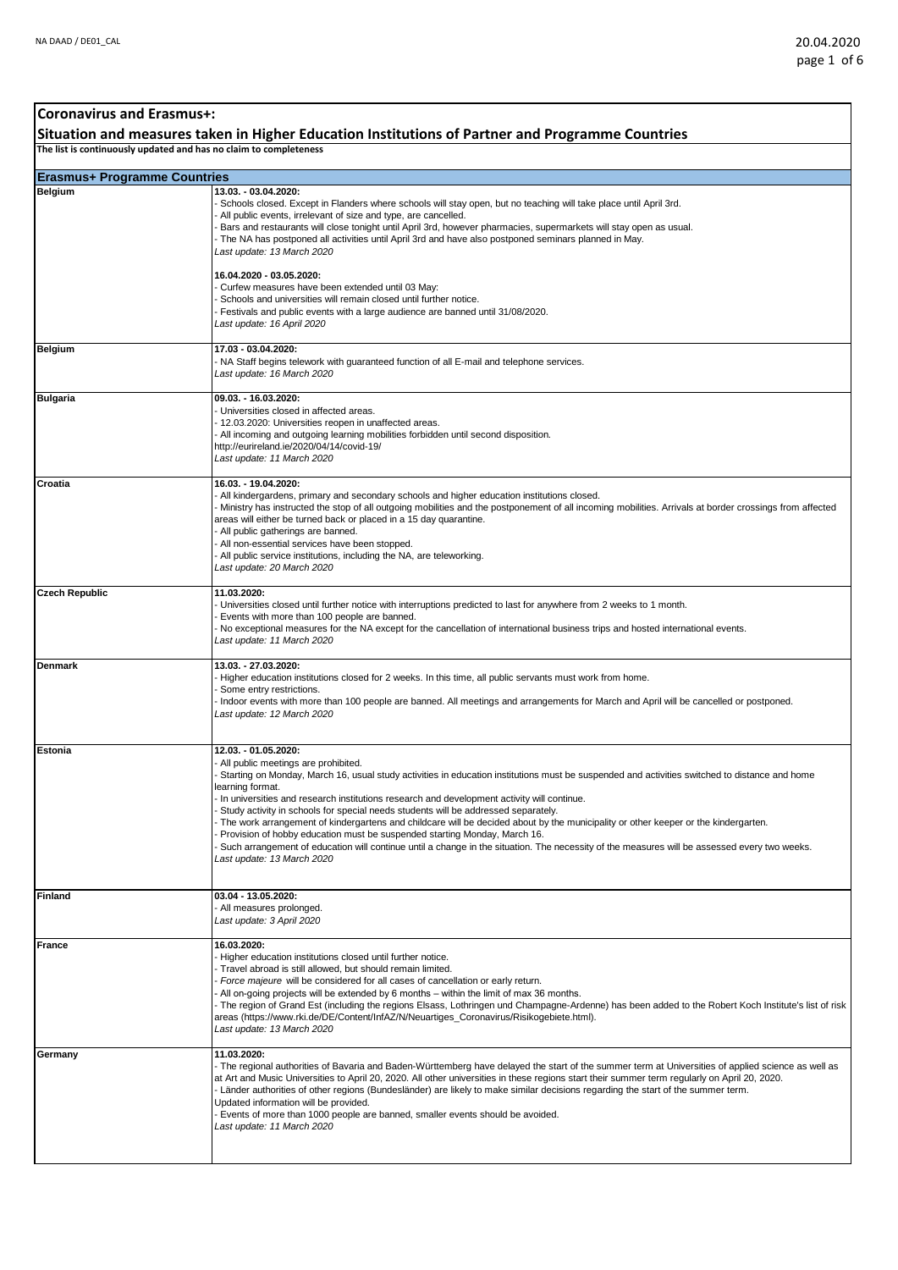## **Erasmus+ Programme Countries Belgium 13.03. - 03.04.2020:**  - Schools closed. Except in Flanders where schools will stay open, but no teaching will take place until April 3rd. All public events, irrelevant of size and type, are cancelled. - Bars and restaurants will close tonight until April 3rd, however pharmacies, supermarkets will stay open as usual. - The NA has postponed all activities until April 3rd and have also postponed seminars planned in May. *Last update: 13 March 2020* **16.04.2020 - 03.05.2020:** - Curfew measures have been extended until 03 May: Schools and universities will remain closed until further notice. Festivals and public events with a large audience are banned until 31/08/2020. *Last update: 16 April 2020* **Belgium 17.03 - 03.04.2020:**  - NA Staff begins telework with guaranteed function of all E-mail and telephone services. *Last update: 16 March 2020* **Bulgaria 09.03. - 16.03.2020:** - Universities closed in affected areas. 12.03.2020: Universities reopen in unaffected areas. - All incoming and outgoing learning mobilities forbidden until second disposition. http://eurireland.ie/2020/04/14/covid-19/ *Last update: 11 March 2020* **Croatia 16.03. - 19.04.2020:**  - All kindergardens, primary and secondary schools and higher education institutions closed. - Ministry has instructed the stop of all outgoing mobilities and the postponement of all incoming mobilities. Arrivals at border crossings from affected areas will either be turned back or placed in a 15 day quarantine. - All public gatherings are banned. All non-essential services have been stopped. - All public service institutions, including the NA, are teleworking. *Last update: 20 March 2020* **Czech Republic 11.03.2020:** - Universities closed until further notice with interruptions predicted to last for anywhere from 2 weeks to 1 month. Events with more than 100 people are banned. - No exceptional measures for the NA except for the cancellation of international business trips and hosted international events. *Last update: 11 March 2020* **Denmark 13.03. - 27.03.2020:** Higher education institutions closed for 2 weeks. In this time, all public servants must work from home. Some entry restrictions. - Indoor events with more than 100 people are banned. All meetings and arrangements for March and April will be cancelled or postponed. *Last update: 12 March 2020* **Estonia 12.03. - 01.05.2020:** - All public meetings are prohibited. Starting on Monday, March 16, usual study activities in education institutions must be suspended and activities switched to distance and home earning format. - In universities and research institutions research and development activity will continue. Study activity in schools for special needs students will be addressed separately The work arrangement of kindergartens and childcare will be decided about by the municipality or other keeper or the kindergarten. - Provision of hobby education must be suspended starting Monday, March 16. Such arrangement of education will continue until a change in the situation. The necessity of the measures will be assessed every two weeks. *Last update: 13 March 2020* **Finland 03.04 - 13.05.2020:** - All measures prolonged. *Last update: 3 April 2020* **France 16.03.2020:** - Higher education institutions closed until further notice. - Travel abroad is still allowed, but should remain limited. Force majeure will be considered for all cases of cancellation or early return. All on-going projects will be extended by 6 months - within the limit of max 36 months. - The region of Grand Est (including the regions Elsass, Lothringen und Champagne-Ardenne) has been added to the Robert Koch Institute's list of risk<br>areas (https://www.rki.de/DE/Content/InfAZ/N/Neuartiges\_Coronavirus/Risi *Last update: 13 March 2020* **Germany 11.03.2020:** - The regional authorities of Bavaria and Baden-Württemberg have delayed the start of the summer term at Universities of applied science as well as at Art and Music Universities to April 20, 2020. All other universities in these regions start their summer term regularly on April 20, 2020. - Länder authorities of other regions (Bundesländer) are likely to make similar decisions regarding the start of the summer term. Updated information will be provided. - Events of more than 1000 people are banned, smaller events should be avoided. *Last update: 11 March 2020* **Coronavirus and Erasmus+: Situation and measures taken in Higher Education Institutions of Partner and Programme Countries The list is continuously updated and has no claim to completeness**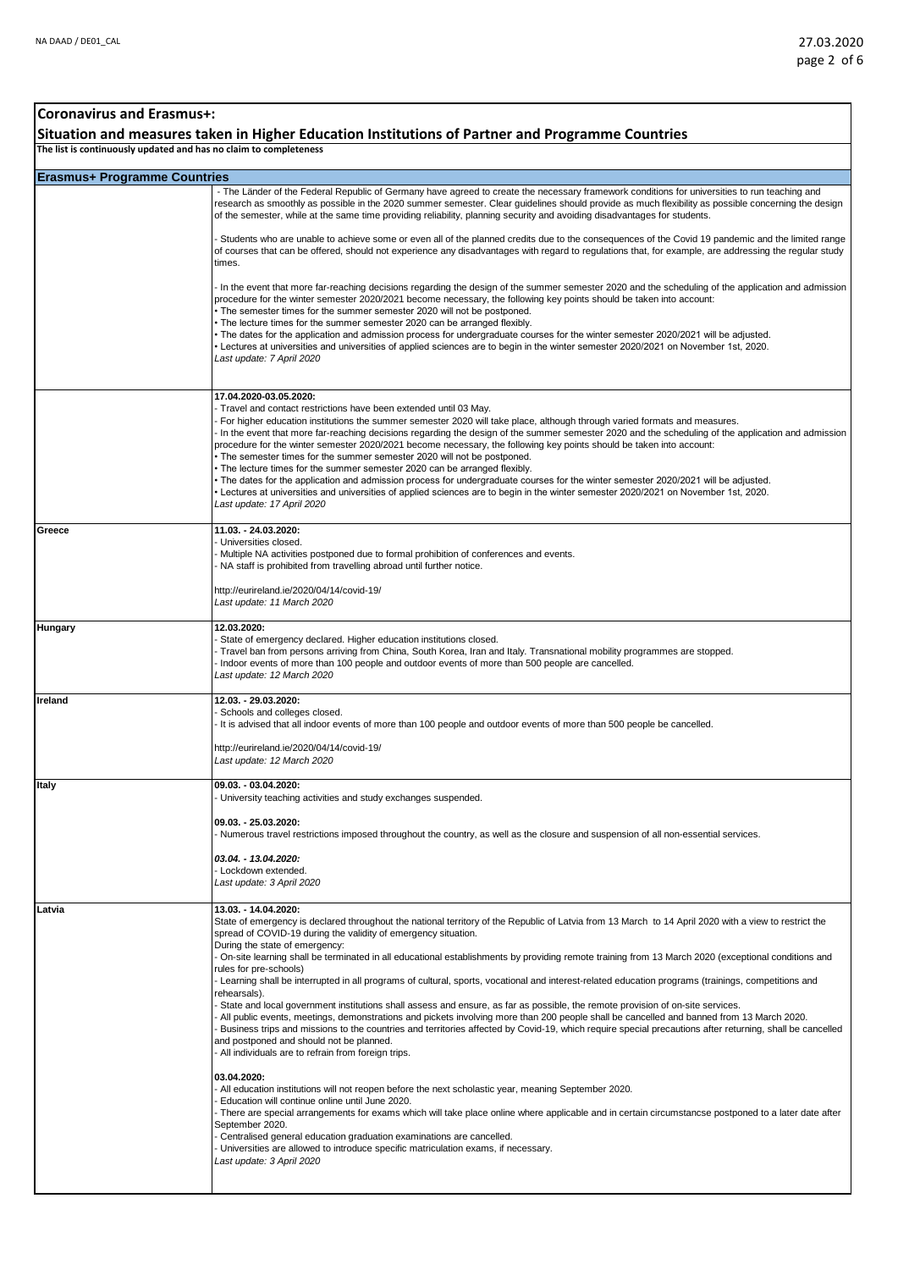## **Erasmus+ Programme Countries Coronavirus and Erasmus+: Situation and measures taken in Higher Education Institutions of Partner and Programme Countries The list is continuously updated and has no claim to completeness** - The Länder of the Federal Republic of Germany have agreed to create the necessary framework conditions for universities to run teaching and research as smoothly as possible in the 2020 summer semester. Clear guidelines should provide as much flexibility as possible concerning the design of the semester, while at the same time providing reliability, planning security and avoiding disadvantages for students. - Students who are unable to achieve some or even all of the planned credits due to the consequences of the Covid 19 pandemic and the limited range of courses that can be offered, should not experience any disadvantages with regard to regulations that, for example, are addressing the regular study times. - In the event that more far-reaching decisions regarding the design of the summer semester 2020 and the scheduling of the application and admission procedure for the winter semester 2020/2021 become necessary, the following key points should be taken into account: • The semester times for the summer semester 2020 will not be postponed. • The lecture times for the summer semester 2020 can be arranged flexibly. • The dates for the application and admission process for undergraduate courses for the winter semester 2020/2021 will be adjusted. • Lectures at universities and universities of applied sciences are to begin in the winter semester 2020/2021 on November 1st, 2020. *Last update: 7 April 2020* **17.04.2020-03.05.2020:** - Travel and contact restrictions have been extended until 03 May. - For higher education institutions the summer semester 2020 will take place, although through varied formats and measures. - In the event that more far-reaching decisions regarding the design of the summer semester 2020 and the scheduling of the application and admission procedure for the winter semester 2020/2021 become necessary, the following key points should be taken into account: The semester times for the summer semester 2020 will not be postponed. • The lecture times for the summer semester 2020 can be arranged flexibly. • The dates for the application and admission process for undergraduate courses for the winter semester 2020/2021 will be adjusted. • Lectures at universities and universities of applied sciences are to begin in the winter semester 2020/2021 on November 1st, 2020. *Last update: 17 April 2020* **Greece 11.03. - 24.03.2020:**  - Universities closed. - Multiple NA activities postponed due to formal prohibition of conferences and events. - NA staff is prohibited from travelling abroad until further notice. http://eurireland.ie/2020/04/14/covid-19/ *Last update: 11 March 2020* **Hungary 12.03.2020:**  - State of emergency declared. Higher education institutions closed. Travel ban from persons arriving from China, South Korea, Iran and Italy. Transnational mobility programmes are stopped. - Indoor events of more than 100 people and outdoor events of more than 500 people are cancelled. *Last update: 12 March 2020* **Ireland 12.03. - 29.03.2020:**  - Schools and colleges closed. - It is advised that all indoor events of more than 100 people and outdoor events of more than 500 people be cancelled. http://eurireland.ie/2020/04/14/covid-19/ *Last update: 12 March 2020* **Italy 09.03. - 03.04.2020:**  - University teaching activities and study exchanges suspended. **09.03. - 25.03.2020:**  - Numerous travel restrictions imposed throughout the country, as well as the closure and suspension of all non-essential services. *03.04. - 13.04.2020:* - Lockdown extended. *Last update: 3 April 2020* **Latvia 13.03. - 14.04.2020:** State of emergency is declared throughout the national territory of the Republic of Latvia from 13 March to 14 April 2020 with a view to restrict the spread of COVID-19 during the validity of emergency situation. During the state of emergency: - On-site learning shall be terminated in all educational establishments by providing remote training from 13 March 2020 (exceptional conditions and rules for pre-schools) - Learning shall be interrupted in all programs of cultural, sports, vocational and interest-related education programs (trainings, competitions and rehearsals). - State and local government institutions shall assess and ensure, as far as possible, the remote provision of on-site services. - All public events, meetings, demonstrations and pickets involving more than 200 people shall be cancelled and banned from 13 March 2020. - Business trips and missions to the countries and territories affected by Covid-19, which require special precautions after returning, shall be cancelled and postponed and should not be planned. - All individuals are to refrain from foreign trips. **03.04.2020:** - All education institutions will not reopen before the next scholastic year, meaning September 2020. - Education will continue online until June 2020. There are special arrangements for exams which will take place online where applicable and in certain circumstancse postponed to a later date after September 2020. - Centralised general education graduation examinations are cancelled. - Universities are allowed to introduce specific matriculation exams, if necessary. *Last update: 3 April 2020*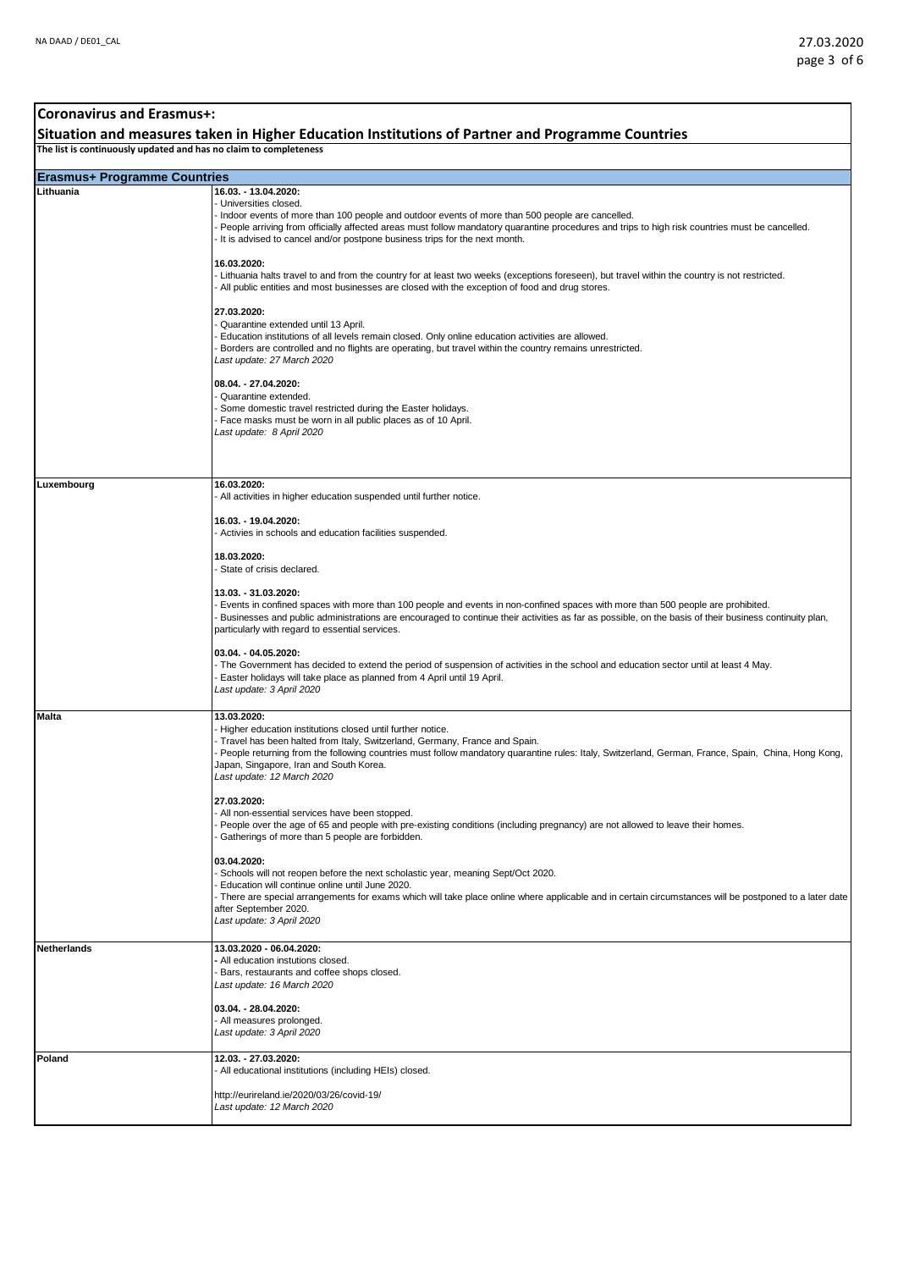| <b>Coronavirus and Erasmus+:</b>                                                                                                                                      |                                                                                                                                                                                                                                                                                                                                                                                                                                                                                                                                                                                                                           |
|-----------------------------------------------------------------------------------------------------------------------------------------------------------------------|---------------------------------------------------------------------------------------------------------------------------------------------------------------------------------------------------------------------------------------------------------------------------------------------------------------------------------------------------------------------------------------------------------------------------------------------------------------------------------------------------------------------------------------------------------------------------------------------------------------------------|
| Situation and measures taken in Higher Education Institutions of Partner and Programme Countries<br>The list is continuously updated and has no claim to completeness |                                                                                                                                                                                                                                                                                                                                                                                                                                                                                                                                                                                                                           |
|                                                                                                                                                                       |                                                                                                                                                                                                                                                                                                                                                                                                                                                                                                                                                                                                                           |
| <b>Erasmus+ Programme Countries</b><br>Lithuania                                                                                                                      | 16.03. - 13.04.2020:                                                                                                                                                                                                                                                                                                                                                                                                                                                                                                                                                                                                      |
|                                                                                                                                                                       | Universities closed.<br>Indoor events of more than 100 people and outdoor events of more than 500 people are cancelled.<br>People arriving from officially affected areas must follow mandatory quarantine procedures and trips to high risk countries must be cancelled.<br>It is advised to cancel and/or postpone business trips for the next month.<br>16.03.2020:<br>Lithuania halts travel to and from the country for at least two weeks (exceptions foreseen), but travel within the country is not restricted.<br>All public entities and most businesses are closed with the exception of food and drug stores. |
|                                                                                                                                                                       | 27.03.2020:<br>Quarantine extended until 13 April.<br>Education institutions of all levels remain closed. Only online education activities are allowed.<br>Borders are controlled and no flights are operating, but travel within the country remains unrestricted.<br>Last update: 27 March 2020<br>08.04. - 27.04.2020:<br>Quarantine extended.<br>Some domestic travel restricted during the Easter holidays.<br>Face masks must be worn in all public places as of 10 April.<br>Last update: 8 April 2020                                                                                                             |
|                                                                                                                                                                       |                                                                                                                                                                                                                                                                                                                                                                                                                                                                                                                                                                                                                           |
| Luxembourg                                                                                                                                                            | 16.03.2020:<br>All activities in higher education suspended until further notice.<br>16.03. - 19.04.2020:<br>Activies in schools and education facilities suspended.                                                                                                                                                                                                                                                                                                                                                                                                                                                      |
|                                                                                                                                                                       | 18.03.2020:<br>State of crisis declared.                                                                                                                                                                                                                                                                                                                                                                                                                                                                                                                                                                                  |
|                                                                                                                                                                       | 13.03. - 31.03.2020:<br>Events in confined spaces with more than 100 people and events in non-confined spaces with more than 500 people are prohibited.<br>Businesses and public administrations are encouraged to continue their activities as far as possible, on the basis of their business continuity plan,<br>particularly with regard to essential services.                                                                                                                                                                                                                                                       |
|                                                                                                                                                                       | 03.04. - 04.05.2020:<br>The Government has decided to extend the period of suspension of activities in the school and education sector until at least 4 May.<br>Easter holidays will take place as planned from 4 April until 19 April.<br>Last update: 3 April 2020                                                                                                                                                                                                                                                                                                                                                      |
| <b>Malta</b>                                                                                                                                                          | 13.03.2020:<br>Higher education institutions closed until further notice.<br>Travel has been halted from Italy, Switzerland, Germany, France and Spain.<br>People returning from the following countries must follow mandatory quarantine rules: Italy, Switzerland, German, France, Spain, China, Hong Kong,<br>Japan, Singapore, Iran and South Korea.<br>Last update: 12 March 2020                                                                                                                                                                                                                                    |
|                                                                                                                                                                       | 27.03.2020:<br>All non-essential services have been stopped.<br>People over the age of 65 and people with pre-existing conditions (including pregnancy) are not allowed to leave their homes.<br>Gatherings of more than 5 people are forbidden.                                                                                                                                                                                                                                                                                                                                                                          |
|                                                                                                                                                                       | 03.04.2020:<br>Schools will not reopen before the next scholastic year, meaning Sept/Oct 2020.<br>Education will continue online until June 2020.<br>There are special arrangements for exams which will take place online where applicable and in certain circumstances will be postponed to a later date<br>after September 2020.<br>Last update: 3 April 2020                                                                                                                                                                                                                                                          |
| <b>Netherlands</b>                                                                                                                                                    | 13.03.2020 - 06.04.2020:<br>All education instutions closed.<br>Bars, restaurants and coffee shops closed.<br>Last update: 16 March 2020                                                                                                                                                                                                                                                                                                                                                                                                                                                                                  |
|                                                                                                                                                                       | 03.04. - 28.04.2020:<br>All measures prolonged.<br>Last update: 3 April 2020                                                                                                                                                                                                                                                                                                                                                                                                                                                                                                                                              |
| Poland                                                                                                                                                                | 12.03. - 27.03.2020:<br>All educational institutions (including HEIs) closed.                                                                                                                                                                                                                                                                                                                                                                                                                                                                                                                                             |
|                                                                                                                                                                       | http://eurireland.ie/2020/03/26/covid-19/<br>Last update: 12 March 2020                                                                                                                                                                                                                                                                                                                                                                                                                                                                                                                                                   |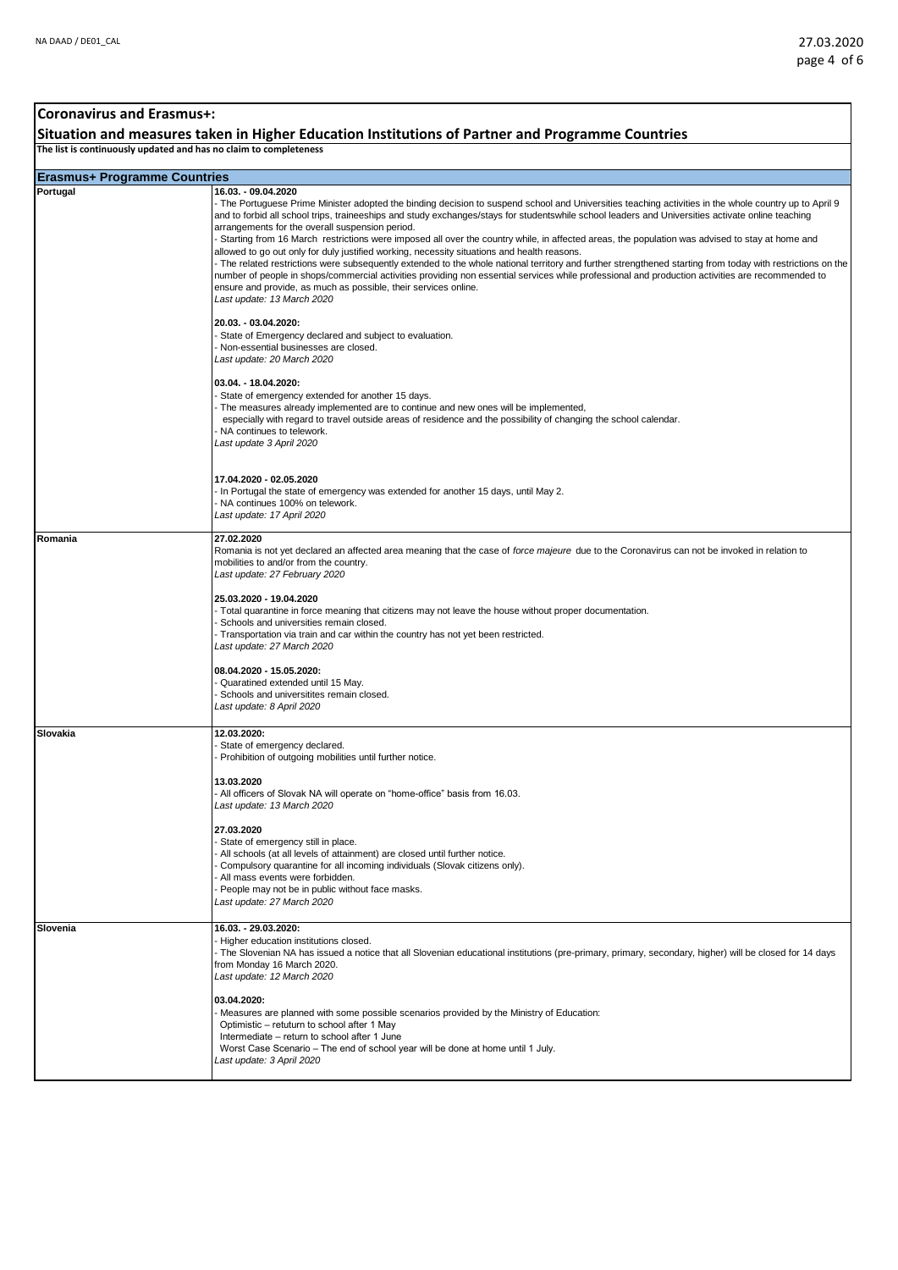#### **Erasmus+ Programme Countries Coronavirus and Erasmus+: Situation and measures taken in Higher Education Institutions of Partner and Programme Countries The list is continuously updated and has no claim to completeness Portugal 16.03. - 09.04.2020** - The Portuguese Prime Minister adopted the binding decision to suspend school and Universities teaching activities in the whole country up to April 9 and to forbid all school trips, traineeships and study exchanges/stays for studentswhile school leaders and Universities activate online teaching arrangements for the overall suspension period. - Starting from 16 March restrictions were imposed all over the country while, in affected areas, the population was advised to stay at home and allowed to go out only for duly justified working, necessity situations and health reasons. - The related restrictions were subsequently extended to the whole national territory and further strengthened starting from today with restrictions on the number of people in shops/commercial activities providing non essential services while professional and production activities are recommended to ensure and provide, as much as possible, their services online. *Last update: 13 March 2020* **20.03. - 03.04.2020:** - State of Emergency declared and subject to evaluation. - Non-essential businesses are closed. *Last update: 20 March 2020* **03.04. - 18.04.2020:** - State of emergency extended for another 15 days. - The measures already implemented are to continue and new ones will be implemented, especially with regard to travel outside areas of residence and the possibility of changing the school calendar. - NA continues to telework. *Last update 3 April 2020* **17.04.2020 - 02.05.2020** - In Portugal the state of emergency was extended for another 15 days, until May 2. - NA continues 100% on telework. *Last update: 17 April 2020* **Romania 27.02.2020** Romania is not yet declared an affected area meaning that the case of *force majeure* due to the Coronavirus can not be invoked in relation to mobilities to and/or from the country. *Last update: 27 February 2020* **25.03.2020 - 19.04.2020** - Total quarantine in force meaning that citizens may not leave the house without proper documentation. - Schools and universities remain closed. - Transportation via train and car within the country has not yet been restricted. *Last update: 27 March 2020* **08.04.2020 - 15.05.2020:** - Quaratined extended until 15 May. Schools and universitites remain closed. *Last update: 8 April 2020* **Slovakia 12.03.2020:** State of emergency declared. - Prohibition of outgoing mobilities until further notice. **13.03.2020** - All officers of Slovak NA will operate on "home-office" basis from 16.03. *Last update: 13 March 2020* **27.03.2020** - State of emergency still in place. - All schools (at all levels of attainment) are closed until further notice. - Compulsory quarantine for all incoming individuals (Slovak citizens only). - All mass events were forbidden. - People may not be in public without face masks. *Last update: 27 March 2020* **Slovenia 16.03. - 29.03.2020:**  - Higher education institutions closed. - The Slovenian NA has issued a notice that all Slovenian educational institutions (pre-primary, primary, secondary, higher) will be closed for 14 days from Monday 16 March 2020. *Last update: 12 March 2020* **03.04.2020:** - Measures are planned with some possible scenarios provided by the Ministry of Education: Optimistic – retuturn to school after 1 May Intermediate – return to school after 1 June Worst Case Scenario – The end of school year will be done at home until 1 July. *Last update: 3 April 2020*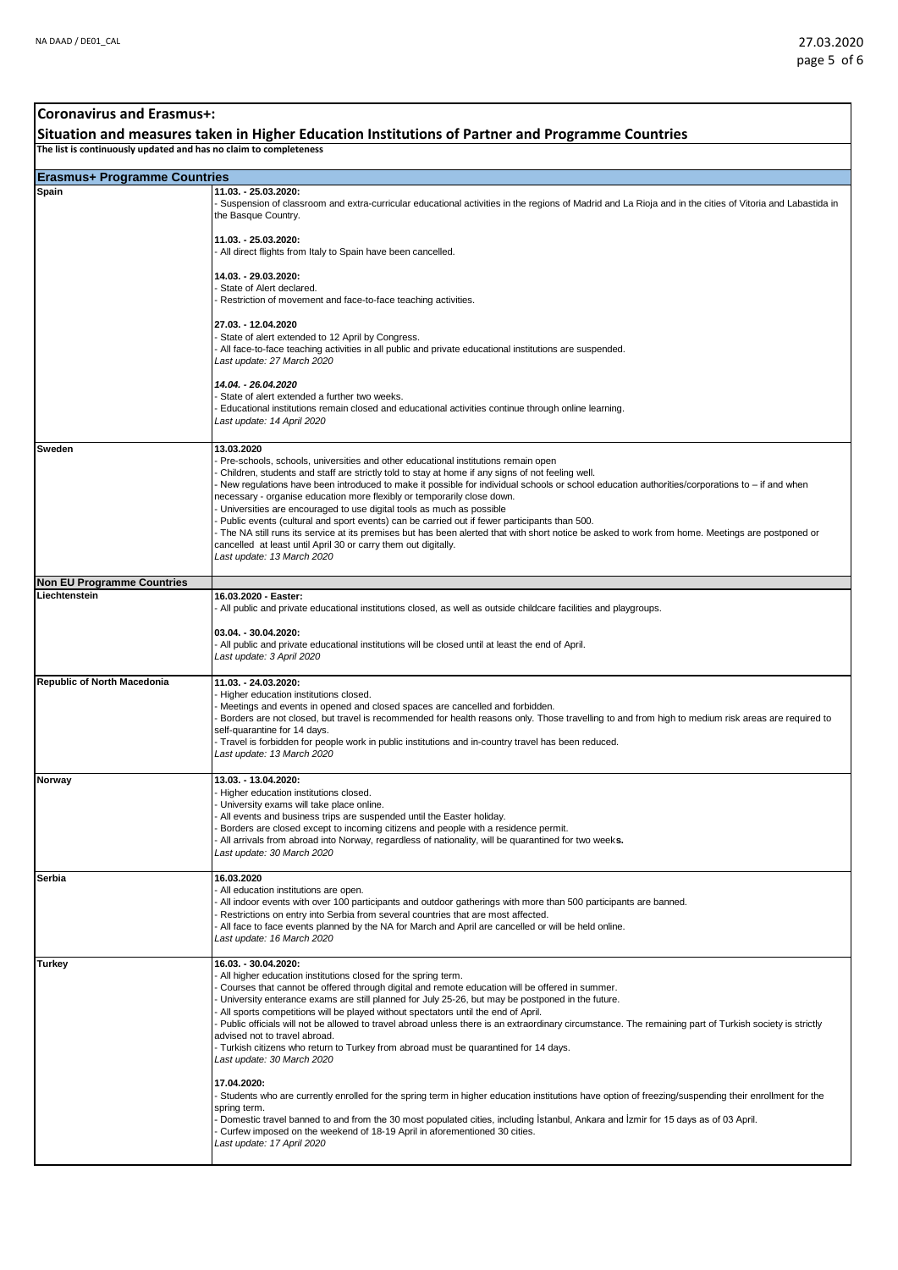## **Erasmus+ Programme Countries Coronavirus and Erasmus+: Situation and measures taken in Higher Education Institutions of Partner and Programme Countries The list is continuously updated and has no claim to completeness Spain 11.03. - 25.03.2020:** - Suspension of classroom and extra-curricular educational activities in the regions of Madrid and La Rioja and in the cities of Vitoria and Labastida in the Basque Country. **11.03. - 25.03.2020:**  - All direct flights from Italy to Spain have been cancelled. **14.03. - 29.03.2020:**  State of Alert declared. - Restriction of movement and face-to-face teaching activities. **27.03. - 12.04.2020** - State of alert extended to 12 April by Congress. - All face-to-face teaching activities in all public and private educational institutions are suspended. *Last update: 27 March 2020 14.04. - 26.04.2020* - State of alert extended a further two weeks. - Educational institutions remain closed and educational activities continue through online learning. *Last update: 14 April 2020* **Sweden 13.03.2020** - Pre-schools, schools, universities and other educational institutions remain open - Children, students and staff are strictly told to stay at home if any signs of not feeling well. - New regulations have been introduced to make it possible for individual schools or school education authorities/corporations to – if and when necessary - organise education more flexibly or temporarily close down. - Universities are encouraged to use digital tools as much as possible Public events (cultural and sport events) can be carried out if fewer participants than 500. The NA still runs its service at its premises but has been alerted that with short notice be asked to work from home. Meetings are postponed or cancelled at least until April 30 or carry them out digitally. *Last update: 13 March 2020* **Non EU Programme Countries Liechtenstein 16.03.2020 - Easter:** All public and private educational institutions closed, as well as outside childcare facilities and playgroups. **03.04. - 30.04.2020:** - All public and private educational institutions will be closed until at least the end of April. *Last update: 3 April 2020* **Republic of North Macedonia 11.03. - 24.03.2020:**  - Higher education institutions closed. Meetings and events in opened and closed spaces are cancelled and forbidden. - Borders are not closed, but travel is recommended for health reasons only. Those travelling to and from high to medium risk areas are required to self-quarantine for 14 days. - Travel is forbidden for people work in public institutions and in-country travel has been reduced. *Last update: 13 March 2020* **Norway 13.03. - 13.04.2020:**  - Higher education institutions closed. University exams will take place online. All events and business trips are suspended until the Easter holiday. Borders are closed except to incoming citizens and people with a residence permit. - All arrivals from abroad into Norway, regardless of nationality, will be quarantined for two week**s.**  *Last update: 30 March 2020* **Serbia 16.03.2020** - All education institutions are open. All indoor events with over 100 participants and outdoor gatherings with more than 500 participants are banned. Restrictions on entry into Serbia from several countries that are most affected. All face to face events planned by the NA for March and April are cancelled or will be held online. *Last update: 16 March 2020* **Turkey 16.03. - 30.04.2020:** - All higher education institutions closed for the spring term. - Courses that cannot be offered through digital and remote education will be offered in summer. University enterance exams are still planned for July 25-26, but may be postponed in the future. All sports competitions will be played without spectators until the end of April. Public officials will not be allowed to travel abroad unless there is an extraordinary circumstance. The remaining part of Turkish society is strictly advised not to travel abroad. - Turkish citizens who return to Turkey from abroad must be quarantined for 14 days. *Last update: 30 March 2020* **17.04.2020:** - Students who are currently enrolled for the spring term in higher education institutions have option of freezing/suspending their enrollment for the spring term. - Domestic travel banned to and from the 30 most populated cities, including İstanbul, Ankara and İzmir for 15 days as of 03 April. - Curfew imposed on the weekend of 18-19 April in aforementioned 30 cities. *Last update: 17 April 2020*